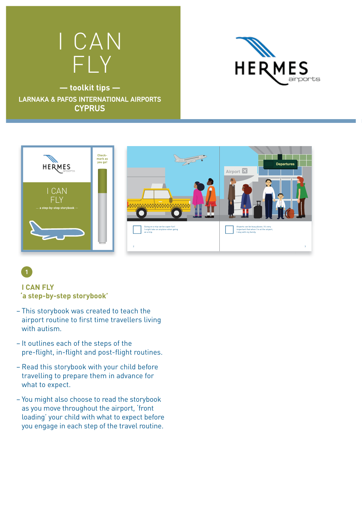





## **I CAN FLY 'a step-by-step storybook'**

**1**

- This storybook was created to teach the airport routine to first time travellers living with autism.
- It outlines each of the steps of the pre-flight, in-flight and post-flight routines.
- Read this storybook with your child before travelling to prepare them in advance for what to expect.
- You might also choose to read the storybook as you move throughout the airport, 'front loading' your child with what to expect before you engage in each step of the travel routine.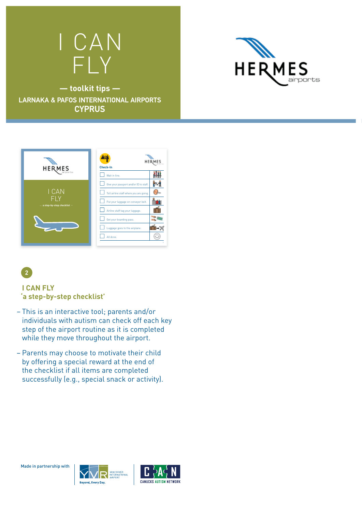# I CAN FLY



**— toolkit tips — LARNAKA & PAFOS INTERNATIONAL AIRPORTS CYPRUS**





### **I CAN FLY 'a step-by-step checklist'**

- This is an interactive tool; parents and/or individuals with autism can check off each key step of the airport routine as it is completed while they move throughout the airport.
- Parents may choose to motivate their child by offering a special reward at the end of the checklist if all items are completed successfully (e.g., special snack or activity).



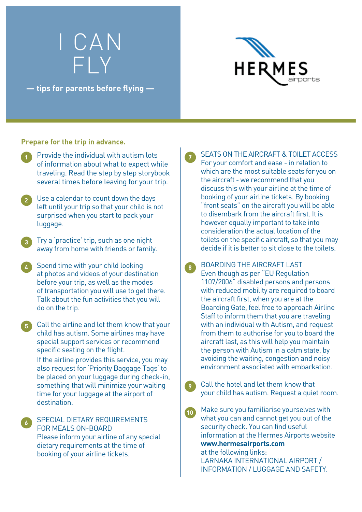# I CAN FLY

**— tips for parents before flying —**



#### **Prepare for the trip in advance.**

- Provide the individual with autism lots of information about what to expect while traveling. Read the step by step storybook several times before leaving for your trip.
- **2** Use a calendar to count down the days left until your trip so that your child is not surprised when you start to pack your luggage.
- **3** Try a 'practice' trip, such as one night away from home with friends or family.
- **4** Spend time with your child looking at photos and videos of your destination before your trip, as well as the modes of transportation you will use to get there. Talk about the fun activities that you will do on the trip.
- **5** Call the airline and let them know that your child has autism. Some airlines may have special support services or recommend specific seating on the flight.
	- If the airline provides this service, you may also request for 'Priority Baggage Tags' to be placed on your luggage during check-in, something that will minimize your waiting time for your luggage at the airport of destination.

SPECIAL DIETARY REQUIREMENTS FOR MEALS ON-BOARD Please inform your airline of any special dietary requirements at the time of booking of your airline tickets.

**6**

SEATS ON THE AIRCRAFT & TOILET ACCESS For your comfort and ease - in relation to which are the most suitable seats for you on the aircraft - we recommend that you discuss this with your airline at the time of booking of your airline tickets. By booking "front seats" on the aircraft you will be able to disembark from the aircraft first. It is however equally important to take into consideration the actual location of the toilets on the specific aircraft, so that you may decide if it is better to sit close to the toilets.

**7**

- **8** BOARDING THE AIRCRAFT LAST Even though as per "EU Regulation 1107/2006" disabled persons and persons with reduced mobility are required to board the aircraft first, when you are at the Boarding Gate, feel free to approach Airline Staff to inform them that you are traveling with an individual with Autism, and request from them to authorise for you to board the aircraft last, as this will help you maintain the person with Autism in a calm state, by avoiding the waiting, congestion and noisy environment associated with embarkation.
	- **9** Call the hotel and let them know that your child has autism. Request a quiet room.
- **10** Make sure you familiarise yourselves with what you can and cannot get you out of the security check. You can find useful information at the Hermes Airports website **www.hermesairports.com**

at the following links: LARNAKA INTERNATIONAL AIRPORT / INFORMATION / LUGGAGE AND SAFETY.